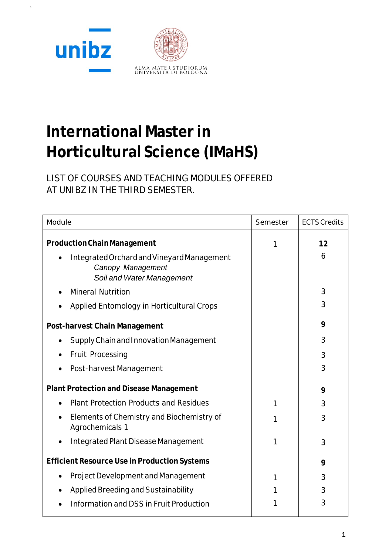

# **International Master in Horticultural Science (IMaHS)**

LIST OF COURSES AND TEACHING MODULES OFFERED AT UNIBZ IN THE THIRD SEMESTER.

| Module                                                                                       | Semester | <b>ECTS Credits</b> |
|----------------------------------------------------------------------------------------------|----------|---------------------|
| <b>Production Chain Management</b>                                                           | 1        | 12                  |
| Integrated Orchard and Vineyard Management<br>Canopy Management<br>Soil and Water Management |          | 6                   |
| <b>Mineral Nutrition</b>                                                                     |          | 3                   |
| Applied Entomology in Horticultural Crops                                                    |          | 3                   |
| Post-harvest Chain Management                                                                |          | 9                   |
| Supply Chain and Innovation Management                                                       |          | 3                   |
| Fruit Processing                                                                             |          | 3                   |
| Post-harvest Management                                                                      |          | 3                   |
| <b>Plant Protection and Disease Management</b>                                               |          | 9                   |
| <b>Plant Protection Products and Residues</b>                                                | 1        | 3                   |
| Elements of Chemistry and Biochemistry of<br>Agrochemicals 1                                 | 1        | 3                   |
| <b>Integrated Plant Disease Management</b>                                                   | 1        | 3                   |
| <b>Efficient Resource Use in Production Systems</b>                                          |          | 9                   |
| Project Development and Management                                                           | 1        | 3                   |
| Applied Breeding and Sustainability                                                          |          | 3                   |
| Information and DSS in Fruit Production                                                      |          | 3                   |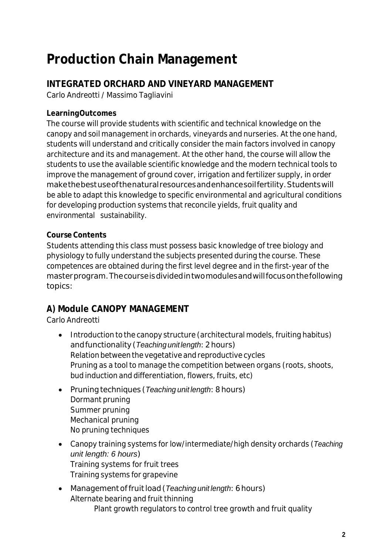## **Production Chain Management**

## **INTEGRATED ORCHARD AND VINEYARD MANAGEMENT**

Carlo Andreotti / Massimo Tagliavini

## **LearningOutcomes**

The course will provide students with scientific and technical knowledge on the canopy and soil management in orchards, vineyards and nurseries. At the one hand, students will understand and critically consider the main factors involved in canopy architecture and its and management. At the other hand, the course will allow the students to use the available scientific knowledge and the modern technical tools to improve the management of ground cover, irrigation and fertilizer supply, in order makethebestuseofthenaturalresourcesandenhancesoilfertility.Studentswill be able to adapt this knowledge to specific environmental and agricultural conditions for developing production systems that reconcile yields, fruit quality and environmental sustainability.

## **Course Contents**

Students attending this class must possess basic knowledge of tree biology and physiology to fully understand the subjects presented during the course. These competences are obtained during the first level degree and in the first-year of the masterprogram.Thecourseisdividedintwomodulesandwillfocusonthefollowing topics:

## **A) Module CANOPY MANAGEMENT**

Carlo Andreotti

- Introduction to the canopy structure (architectural models, fruiting habitus) andfunctionality(*Teaching unitlength*:2hours) Relation between the vegetative and reproductive cycles Pruning as a tool to manage the competition between organs (roots, shoots, bud induction and differentiation, flowers, fruits, etc)
- Pruning techniques (*Teaching unit length*: 8 hours) Dormant pruning Summer pruning Mechanical pruning No pruning techniques
- Canopy training systems for low/intermediate/high density orchards (*Teaching unit length: 6 hours*) Training systems for fruit trees Training systems for grapevine
- Management of fruit load (*Teaching unit length*: 6 hours) Alternate bearing and fruit thinning Plant growth regulators to control tree growth and fruit quality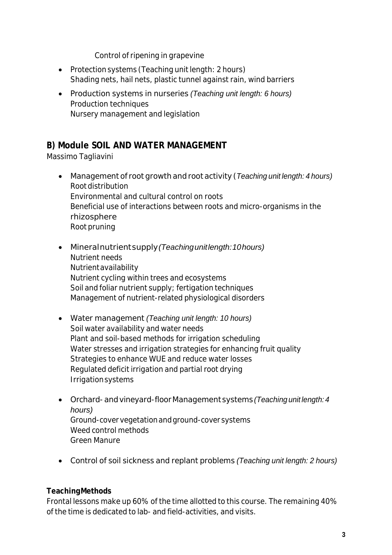Control of ripening in grapevine

- Protection systems (Teaching unit length: 2 hours) Shading nets, hail nets, plastic tunnel against rain, wind barriers
- Production systems in nurseries *(Teaching unit length: 6 hours)* Production techniques Nursery management and legislation

## **B) Module SOIL AND WATER MANAGEMENT**

Massimo Tagliavini

- Management of root growth and root activity (*Teaching unit length: 4 hours)* Root distribution Environmental and cultural control on roots Beneficial use of interactions between roots and micro-organisms in the rhizosphere Root pruning
- Mineralnutrientsupply*(Teachingunitlength:10hours)* Nutrient needs Nutrientavailability Nutrient cycling within trees and ecosystems Soil and foliar nutrient supply; fertigation techniques Management of nutrient-related physiological disorders
- Water management *(Teaching unit length: 10 hours)* Soil water availability and water needs Plant and soil-based methods for irrigation scheduling Water stresses and irrigation strategies for enhancing fruit quality Strategies to enhance WUE and reduce water losses Regulated deficit irrigation and partial root drying Irrigationsystems
- Orchard-andvineyard-floorManagement systems *(Teaching unit length: 4 hours)* Ground-covervegetationandground-cover systems Weed control methods Green Manure
- Control of soil sickness and replant problems *(Teaching unit length: 2 hours)*

#### **TeachingMethods**

Frontal lessons make up 60% of the time allotted to this course. The remaining 40% of the time is dedicated to lab- and field-activities, and visits.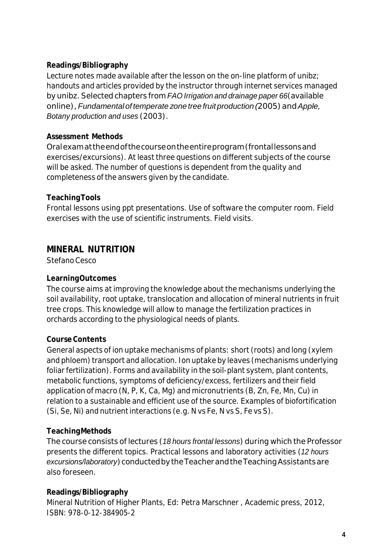#### **Readings/Bibliography**

Lecture notes made available after the lesson on the on-line platform of unibz; handouts and articles provided by the instructor through internet services managed by unibz.Selected chapters from *FAO Irrigation and drainage paper 66*(available online),*Fundamentalof temperate zone tree fruit production (*2005)and*Apple, Botany production and uses* (2003).

#### **Assessment Methods**

Oralexamattheendofthecourseontheentireprogram(frontallessonsand exercises/excursions). At least three questions on different subjects of the course will be asked. The number of questions is dependent from the quality and completeness of the answers given by the candidate.

#### **TeachingTools**

Frontal lessons using ppt presentations. Use of software the computer room. Field exercises with the use of scientific instruments. Field visits.

#### **MINERAL NUTRITION**

Stefano Cesco

#### **LearningOutcomes**

The course aims at improving the knowledge about the mechanisms underlying the soil availability, root uptake, translocation and allocation of mineral nutrients in fruit tree crops. This knowledge will allow to manage the fertilization practices in orchards according to the physiological needs of plants.

#### **CourseContents**

General aspects of ion uptake mechanisms of plants: short (roots) and long (xylem and phloem) transport and allocation. Ion uptake by leaves (mechanisms underlying foliar fertilization). Forms and availability in the soil-plant system, plant contents, metabolic functions, symptoms of deficiency/excess, fertilizers and their field application of macro (N, P, K, Ca, Mg) and micronutrients (B, Zn, Fe, Mn, Cu) in relation to a sustainable and efficient use of the source. Examples of biofortification (Si, Se, Ni) and nutrient interactions (e.g. N vs Fe, N vs S, Fe vs S).

#### **TeachingMethods**

The course consists of lectures (*18 hours frontal lessons*) during which the Professor presents the different topics. Practical lessons and laboratory activities (*12 hours* excursions/laboratory) conducted by the Teacher and the Teaching Assistants are also foreseen.

#### **Readings/Bibliography**

Mineral Nutrition of Higher Plants, Ed: Petra Marschner , Academic press, 2012, ISBN: 978-0-12-384905-2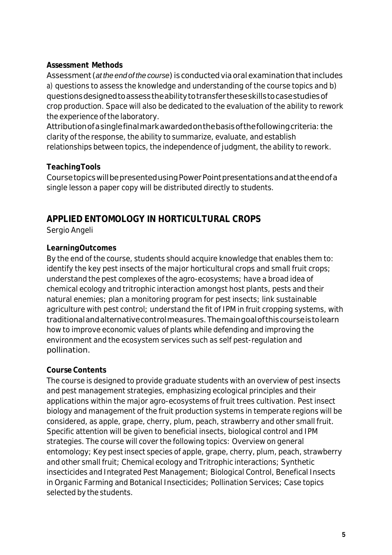#### **Assessment Methods**

Assessment (*at the end of the course*) is conductedvia oral examinationthatincludes a) questions to assess the knowledge and understanding of the course topics and b) questionsdesignedtoassesstheabilitytotransfertheseskillstocasestudiesof crop production. Space will also be dedicated to the evaluation of the ability to rework the experience of the laboratory.

Attribution of a single final mark awarded on the basis of the following criteria: the clarity of the response, the ability to summarize, evaluate, and establish relationships between topics, the independence of judgment, the ability to rework.

#### **TeachingTools**

CoursetopicswillbepresentedusingPowerPointpresentationsandattheendofa single lesson a paper copy will be distributed directly to students.

## **APPLIED ENTOMOLOGY IN HORTICULTURAL CROPS**

Sergio Angeli

## **LearningOutcomes**

By the end of the course, students should acquire knowledge that enables them to: identify the key pest insects of the major horticultural crops and small fruit crops; understand the pest complexes of the agro-ecosystems; have a broad idea of chemical ecology and tritrophic interaction amongst host plants, pests and their natural enemies; plan a monitoring program for pest insects; link sustainable agriculture with pest control; understand the fit of IPM in fruit cropping systems, with traditionalandalternativecontrolmeasures.Themaingoalofthiscourseistolearn how to improve economic values of plants while defending and improving the environment and the ecosystem services such as self pest-regulation and pollination.

## **Course Contents**

The course is designed to provide graduate students with an overview of pest insects and pest management strategies, emphasizing ecological principles and their applications within the major agro-ecosystems of fruit trees cultivation. Pest insect biology and management of the fruit production systems in temperate regions will be considered, as apple, grape, cherry, plum, peach, strawberry and other small fruit. Specific attention will be given to beneficial insects, biological control and IPM strategies. The course will cover the following topics: Overview on general entomology; Key pest insect species of apple, grape, cherry, plum, peach, strawberry and other small fruit; Chemical ecology and Tritrophic interactions; Synthetic insecticides and Integrated Pest Management; Biological Control, Benefical Insects in Organic Farming and Botanical Insecticides; Pollination Services; Case topics selected by the students.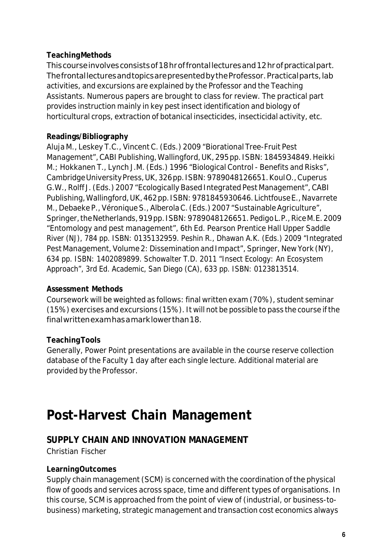#### **TeachingMethods**

Thiscourseinvolvesconsistsof18hroffrontallecturesand12hrofpracticalpart. ThefrontallecturesandtopicsarepresentedbytheProfessor.Practicalparts,lab activities, and excursions are explained by the Professor and the Teaching Assistants. Numerous papers are brought to class for review. The practical part provides instruction mainly in key pest insect identification and biology of horticultural crops, extraction of botanical insecticides, insecticidal activity, etc.

#### **Readings/Bibliography**

Aluja M., Leskey T.C., Vincent C. (Eds.) 2009 "Biorational Tree-Fruit Pest Management", CABI Publishing, Wallingford, UK, 295pp. ISBN: 1845934849. Heikki M.; Hokkanen T., Lynch J.M. (Eds.) 1996 "Biological Control - Benefits and Risks", CambridgeUniversityPress,UK,326pp. ISBN:9789048126651.KoulO.,Cuperus G.W.,Rolff J. (Eds.) 2007 "Ecologically Based Integrated Pest Management",CABI Publishing, Wallingford, UK, 462pp. ISBN: 9781845930646. Lichtfouse E., Navarrete M., Debaeke P., Véronique S., Alberola C. (Eds.) 2007 "Sustainable Agriculture", Springer, the Netherlands, 919pp. ISBN: 9789048126651. Pedigo L.P., Rice M.E. 2009 "Entomology and pest management", 6th Ed. Pearson Prentice Hall Upper Saddle River (NJ), 784 pp. ISBN: 0135132959. Peshin R., Dhawan A.K. (Eds.) 2009 "Integrated Pest Management, Volume 2: Dissemination and Impact", Springer, New York (NY), 634 pp. ISBN: 1402089899. Schowalter T.D. 2011 "Insect Ecology: An Ecosystem Approach", 3rd Ed. Academic, San Diego (CA), 633 pp. ISBN: 0123813514.

#### **Assessment Methods**

Coursework will be weighted as follows: final written exam (70%), student seminar (15%) exercises and excursions (15%). It will not be possible to pass the course ifthe finalwrittenexamhasamarklowerthan18.

#### **TeachingTools**

Generally, Power Point presentations are available in the course reserve collection database of the Faculty 1 day after each single lecture. Additional material are provided by the Professor.

## **Post-Harvest Chain Management**

## **SUPPLY CHAIN AND INNOVATION MANAGEMENT**

Christian Fischer

#### **LearningOutcomes**

Supply chain management (SCM) is concerned with the coordination of the physical flow of goods and services across space, time and different types of organisations. In this course, SCM is approached from the point of view of (industrial, or business-tobusiness) marketing, strategic management and transaction cost economics always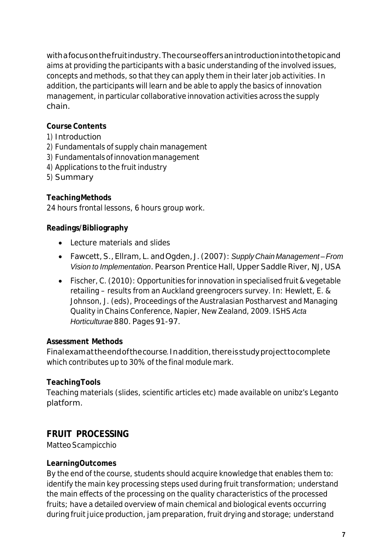withafocusonthefruitindustry.Thecourseoffersanintroductionintothetopicand aims at providing the participants with a basic understanding of the involved issues, concepts and methods, so that they can apply them in their later job activities. In addition, the participants will learn and be able to apply the basics of innovation management, in particular collaborative innovation activities across the supply chain.

## **Course Contents**

- 1) Introduction
- 2) Fundamentals of supply chain management
- 3) Fundamentalsofinnovationmanagement
- 4) Applications to the fruit industry
- 5) Summary

## **TeachingMethods**

24 hours frontal lessons, 6 hours group work.

#### **Readings/Bibliography**

- Lecture materials and slides
- Fawcett,S.,Ellram,L.andOgden, J. (2007):*SupplyChain Management –From Vision to Implementation*. Pearson Prentice Hall, Upper Saddle River, NJ, USA
- Fischer,C. (2010): Opportunities for innovation in specialised fruit & vegetable retailing – results from an Auckland greengrocers survey. In: Hewlett, E. & Johnson, J. (eds), Proceedings of the Australasian Postharvest and Managing Quality in Chains Conference, Napier, New Zealand, 2009. ISHS *Acta Horticulturae* 880. Pages 91-97.

#### **Assessment Methods**

Finalexamattheendofthecourse*.*Inaddition,thereisstudyprojecttocomplete which contributes up to 30% of the final module mark.

#### **TeachingTools**

Teaching materials (slides, scientific articles etc) made available on unibz's Leganto platform.

## **FRUIT PROCESSING**

Matteo Scampicchio

#### **LearningOutcomes**

By the end of the course, students should acquire knowledge that enables them to: identify the main key processing steps used during fruit transformation; understand the main effects of the processing on the quality characteristics of the processed fruits; have a detailed overview of main chemical and biological events occurring during fruit juice production, jam preparation, fruit drying and storage; understand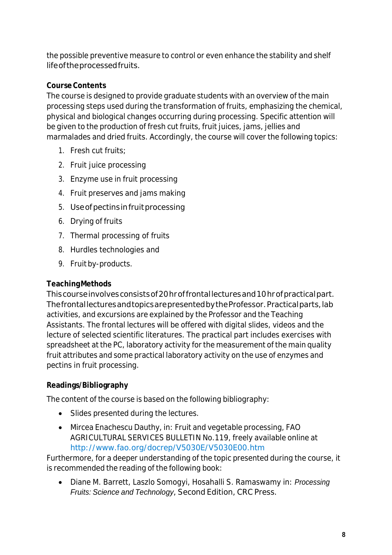the possible preventive measure to control or even enhance the stability and shelf lifeoftheprocessedfruits.

#### **CourseContents**

The course is designed to provide graduate students with an overview of the main processing steps used during the transformation of fruits, emphasizing the chemical, physical and biological changes occurring during processing. Specific attention will be given to the production of fresh cut fruits, fruit juices, jams, jellies and marmalades and dried fruits. Accordingly, the course will cover the following topics:

- 1. Fresh cut fruits;
- 2. Fruit juice processing
- 3. Enzyme use in fruit processing
- 4. Fruit preserves and jams making
- 5. Use of pectins in fruit processing
- 6. Drying of fruits
- 7. Thermal processing of fruits
- 8. Hurdles technologies and
- 9. Fruit by-products.

## **TeachingMethods**

Thiscourseinvolvesconsistsof20hroffrontallecturesand10hrofpracticalpart. ThefrontallecturesandtopicsarepresentedbytheProfessor.Practicalparts,lab activities, and excursions are explained by the Professor and the Teaching Assistants. The frontal lectures will be offered with digital slides, videos and the lecture of selected scientific literatures. The practical part includes exercises with spreadsheet at the PC, laboratory activity for the measurement of the main quality fruit attributes and some practical laboratory activity on the use of enzymes and pectins in fruit processing.

## **Readings/Bibliography**

The content of the course is based on the following bibliography:

- Slides presented during the lectures.
- Mircea Enachescu Dauthy, in: Fruit and vegetable processing, FAO AGRICULTURAL SERVICES BULLETIN No.119, freely available online at <http://www.fao.org/docrep/V5030E/V5030E00.htm>

Furthermore, for a deeper understanding of the topic presented during the course, it is recommended the reading of the following book:

• Diane M. Barrett, Laszlo Somogyi, Hosahalli S. Ramaswamy in: *Processing Fruits: Science and Technology*, Second Edition, CRC Press.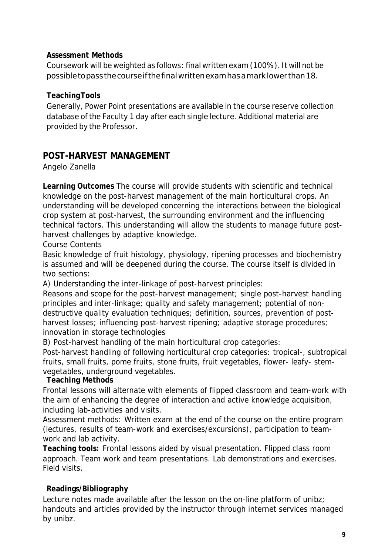#### **Assessment Methods**

Coursework will be weighted as follows: final written exam (100%). It will not be possibletopassthecourseifthefinalwrittenexamhasamarklower than18.

#### **TeachingTools**

Generally, Power Point presentations are available in the course reserve collection database of the Faculty 1 day after each single lecture. Additional material are provided by the Professor.

## **POST-HARVEST MANAGEMENT**

Angelo Zanella

**Learning Outcomes** The course will provide students with scientific and technical knowledge on the post-harvest management of the main horticultural crops. An understanding will be developed concerning the interactions between the biological crop system at post-harvest, the surrounding environment and the influencing technical factors. This understanding will allow the students to manage future postharvest challenges by adaptive knowledge.

Course Contents

Basic knowledge of fruit histology, physiology, ripening processes and biochemistry is assumed and will be deepened during the course. The course itself is divided in two sections:

A) Understanding the inter-linkage of post-harvest principles:

Reasons and scope for the post-harvest management; single post-harvest handling principles and inter-linkage; quality and safety management; potential of nondestructive quality evaluation techniques; definition, sources, prevention of postharvest losses; influencing post-harvest ripening; adaptive storage procedures; innovation in storage technologies

B) Post-harvest handling of the main horticultural crop categories:

Post-harvest handling of following horticultural crop categories: tropical-, subtropical fruits, small fruits, pome fruits, stone fruits, fruit vegetables, flower- leafy- stemvegetables, underground vegetables.

## **Teaching Methods**

Frontal lessons will alternate with elements of flipped classroom and team-work with the aim of enhancing the degree of interaction and active knowledge acquisition, including lab-activities and visits.

Assessment methods: Written exam at the end of the course on the entire program (lectures, results of team-work and exercises/excursions), participation to teamwork and lab activity.

**Teaching tools:** Frontal lessons aided by visual presentation. Flipped class room approach. Team work and team presentations. Lab demonstrations and exercises. Field visits.

## **Readings/Bibliography**

Lecture notes made available after the lesson on the on-line platform of unibz; handouts and articles provided by the instructor through internet services managed by unibz.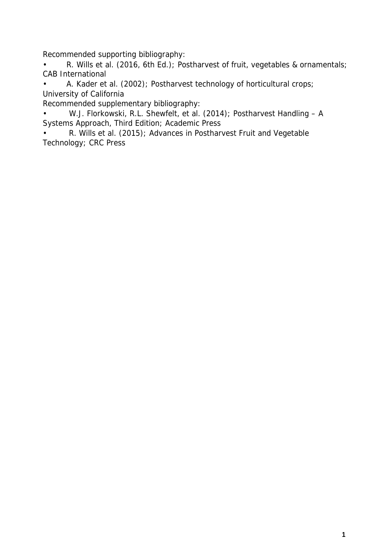Recommended supporting bibliography:

• R. Wills et al. (2016, 6th Ed.); Postharvest of fruit, vegetables & ornamentals; CAB International

• A. Kader et al. (2002); Postharvest technology of horticultural crops; University of California

Recommended supplementary bibliography:

• W.J. Florkowski, R.L. Shewfelt, et al. (2014); Postharvest Handling – A Systems Approach, Third Edition; Academic Press

• R. Wills et al. (2015); Advances in Postharvest Fruit and Vegetable Technology; CRC Press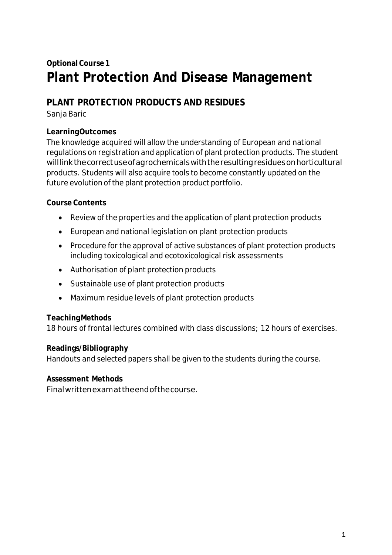## **OptionalCourse1 Plant Protection And Disease Management**

## **PLANT PROTECTION PRODUCTS AND RESIDUES**

Sanja Baric

#### **LearningOutcomes**

The knowledge acquired will allow the understanding of European and national regulations on registration and application of plant protection products. The student willlinkthecorrectuseofagrochemicalswiththeresultingresiduesonhorticultural products. Students will also acquire tools to become constantly updated on the future evolution of the plant protection product portfolio.

#### **Course Contents**

- Review of the properties and the application of plant protection products
- European and national legislation on plant protection products
- Procedure for the approval of active substances of plant protection products including toxicological and ecotoxicological risk assessments
- Authorisation of plant protection products
- Sustainable use of plant protection products
- Maximum residue levels of plant protection products

#### **TeachingMethods**

18 hours of frontal lectures combined with class discussions; 12 hours of exercises.

#### **Readings/Bibliography**

Handouts and selected papers shall be given to the students during the course.

## **Assessment Methods**

Finalwrittenexamattheendofthecourse.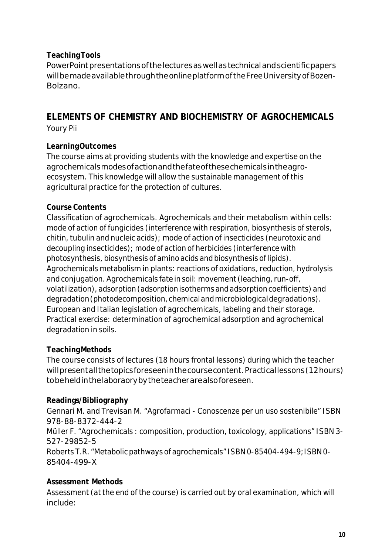#### **TeachingTools**

PowerPoint presentations of the lectures as well as technical and scientific papers willbemadeavailablethroughtheonlineplatformoftheFreeUniversityofBozen-Bolzano.

#### **ELEMENTS OF CHEMISTRY AND BIOCHEMISTRY OF AGROCHEMICALS** Youry Pii

#### **LearningOutcomes**

The course aims at providing students with the knowledge and expertise on the agrochemicalsmodesofactionandthefateofthesechemicalsintheagroecosystem. This knowledge will allow the sustainable management of this agricultural practice for the protection of cultures.

#### **Course Contents**

Classification of agrochemicals. Agrochemicals and their metabolism within cells: mode of action of fungicides (interference with respiration, biosynthesis of sterols,  $chitin$ , tubulin and nucleic acids); mode of action of insecticides (neurotoxic and decoupling insecticides); mode of action of herbicides (interference with photosynthesis, biosynthesis of amino acids and biosynthesis of lipids). Agrochemicals metabolism in plants: reactions of oxidations, reduction, hydrolysis and conjugation. Agrochemicals fate in soil: movement (leaching, run-off, volatilization), adsorption (adsorptionisotherms and adsorptioncoefficients) and degradation (photodecomposition, chemical and microbiological degradations). European and Italian legislation of agrochemicals, labeling and their storage. Practical exercise: determination of agrochemical adsorption and agrochemical degradation in soils.

#### **TeachingMethods**

The course consists of lectures (18 hours frontal lessons) during which the teacher will present all the topics foreseen in the course content. Practical lessons (12 hours) tobeheldinthelaboraorybytheteacherarealsoforeseen.

#### **Readings/Bibliography**

Gennari M. and Trevisan M. "Agrofarmaci - Conoscenze per un uso sostenibile" ISBN 978-88-8372-444-2 Müller F. "Agrochemicals : composition, production, toxicology, applications" ISBN 3- 527-29852-5

Roberts T.R. "Metabolic pathways of agrochemicals" ISBN 0-85404-494-9;ISBN 0- 85404-499-X

#### **Assessment Methods**

Assessment (at the end of the course) is carried out by oral examination, which will include: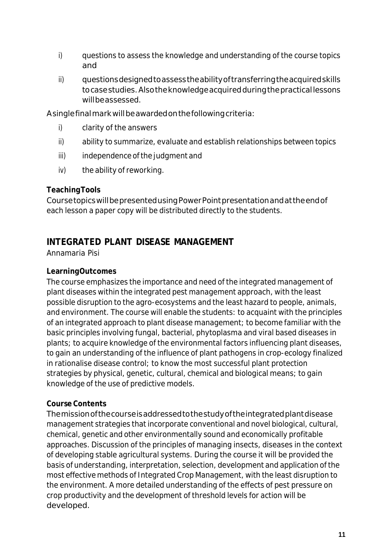- i) questions to assess the knowledge and understanding of the course topics and
- ii) questionsdesignedtoassesstheabilityoftransferringtheacquiredskills to case studies. Also the knowledge acquired during the practical lessons willbeassessed.

Asinglefinalmarkwillbeawardedonthefollowingcriteria:

- i) clarity of the answers
- ii) ability to summarize, evaluate and establish relationships between topics
- iii) independence of the judgment and
- iv) the ability of reworking.

#### **TeachingTools**

CoursetopicswillbepresentedusingPowerPointpresentationandattheendof each lesson a paper copy will be distributed directly to the students.

## **INTEGRATED PLANT DISEASE MANAGEMENT**

Annamaria Pisi

#### **LearningOutcomes**

The course emphasizes the importance and need of the integrated management of plant diseases within the integrated pest management approach, with the least possible disruption to the agro-ecosystems and the least hazard to people, animals, and environment. The course will enable the students: to acquaint with the principles of an integrated approach to plant disease management; to become familiar with the basic principles involving fungal, bacterial, phytoplasma and viral based diseases in plants; to acquire knowledge of the environmental factors influencing plant diseases, to gain an understanding of the influence of plant pathogens in crop-ecology finalized in rationalise disease control; to know the most successful plant protection strategies by physical, genetic, cultural, chemical and biological means; to gain knowledge of the use of predictive models.

#### **Course Contents**

Themissionofthecourseisaddressedtothestudyoftheintegratedplantdisease management strategies that incorporate conventional and novel biological, cultural, chemical, genetic and other environmentally sound and economically profitable approaches. Discussion of the principles of managing insects, diseases in the context of developing stable agricultural systems. During the course it will be provided the basis of understanding, interpretation, selection, development and application of the most effective methods of Integrated Crop Management, with the least disruption to the environment. A more detailed understanding of the effects of pest pressure on crop productivity and the development of threshold levels for action will be developed.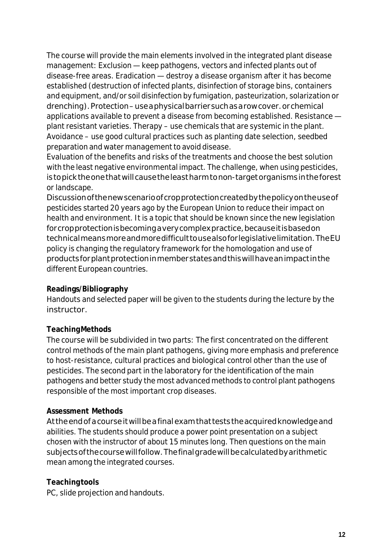The course will provide the main elements involved in the integrated plant disease management: Exclusion — keep pathogens, vectors and infected plants out of disease-free areas. Eradication — destroy a disease organism after it has become established (destruction of infected plants, disinfection of storage bins, containers and equipment, and/or soil disinfection by fumigation, pasteurization, solarization or drenching). Protection–useaphysicalbarrier such as a row cover. or chemical applications available to prevent a disease from becoming established. Resistance plant resistant varieties. Therapy – use chemicals that are systemic in the plant. Avoidance – use good cultural practices such as planting date selection, seedbed preparation and water management to avoid disease.

Evaluation of the benefits and risks of the treatments and choose the best solution with the least negative environmental impact. The challenge, when using pesticides, istopicktheonethatwillcausetheleastharmtonon-targetorganismsintheforest or landscape.

Discussionofthenewscenarioofcropprotectioncreatedbythepolicyontheuseof pesticides started 20 years ago by the European Union to reduce their impact on health and environment. It is a topic that should be known since the new legislation for cropprotection is becoming a very complex practice, because it is based on technicalmeansmoreandmoredifficulttousealsoforlegislativelimitation.TheEU policy is changing the regulatory framework for the homologation and use of productsforplantprotectioninmemberstatesandthiswillhaveanimpactinthe different European countries.

#### **Readings/Bibliography**

Handouts and selected paper will be given to the students during the lecture by the instructor.

#### **TeachingMethods**

The course will be subdivided in two parts: The first concentrated on the different control methods of the main plant pathogens, giving more emphasis and preference to host-resistance, cultural practices and biological control other than the use of pesticides. The second part in the laboratory for the identification of the main pathogens and better study the most advanced methods to control plant pathogens responsible of the most important crop diseases.

#### **Assessment Methods**

Attheendofacourseitwillbeafinalexamthatteststheacquiredknowledgeand abilities. The students should produce a power point presentation on a subject chosen with the instructor of about 15 minutes long. Then questions on the main subjects of the course will follow. The final grade will be calculated by arithmetic mean among the integrated courses.

#### **Teachingtools**

PC, slide projection and handouts.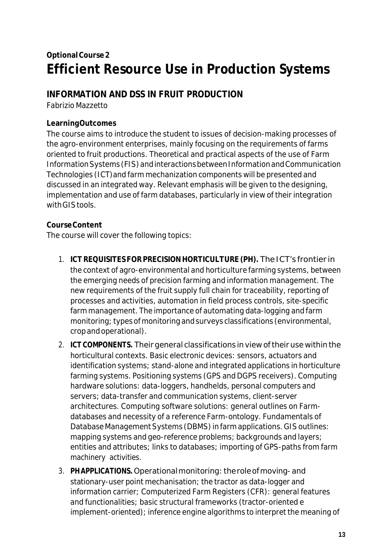## **OptionalCourse2 Efficient Resource Use in Production Systems**

## **INFORMATION AND DSS IN FRUIT PRODUCTION**

Fabrizio Mazzetto

#### **LearningOutcomes**

The course aims to introduce the student to issues of decision-making processes of the agro-environment enterprises, mainly focusing on the requirements of farms oriented to fruit productions. Theoretical and practical aspects of the use of Farm Information Systems (FIS) and interactions between Information and Communication Technologies (ICT)and farm mechanization components will be presented and discussed in an integrated way. Relevant emphasis will be given to the designing, implementation and use of farm databases, particularly in view of their integration withGIStools.

#### **CourseContent**

The course will cover the following topics:

- 1. **ICTREQUISITES FORPRECISIONHORTICULTURE (PH).**The ICT's frontier in the context of agro-environmental and horticulture farming systems, between the emerging needs of precision farming and information management. The new requirements of the fruit supply full chain for traceability, reporting of processes and activities, automation in field process controls, site-specific farm management. The importance of automating data-logging and farm monitoring; typesofmonitoring andsurveys classifications (environmental, cropandoperational).
- 2. **ICTCOMPONENTS.** Theirgeneral classifications inview oftheiruse within the horticultural contexts. Basic electronic devices: sensors, actuators and identification systems; stand-alone and integrated applications in horticulture farming systems. Positioning systems (GPS and DGPS receivers). Computing hardware solutions: data-loggers, handhelds, personal computers and servers; data-transfer and communication systems, client-server architectures. Computing software solutions: general outlines on Farmdatabases and necessity of a reference Farm-ontology. Fundamentals of Database Management Systems (DBMS) in farm applications. GIS outlines: mapping systems and geo-reference problems; backgrounds and layers; entities and attributes; links to databases; importing of GPS-paths from farm machinery activities.
- 3. **PHAPPLICATIONS.**Operationalmonitoring: theroleofmoving-and stationary-user point mechanisation; the tractor as data-logger and information carrier; Computerized Farm Registers (CFR): general features and functionalities; basic structural frameworks (tractor-oriented e implement-oriented); inference engine algorithms to interpret the meaning of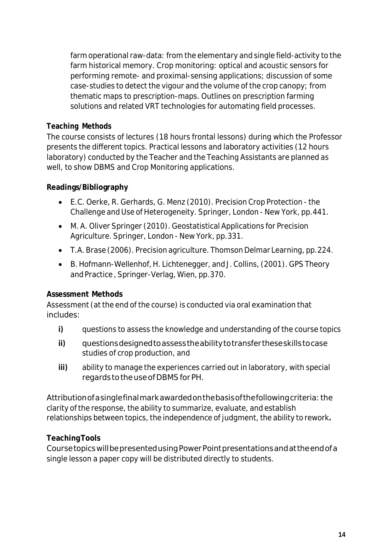farm operational raw-data: from the elementary and single field-activity to the farm historical memory. Crop monitoring: optical and acoustic sensors for performing remote- and proximal-sensing applications; discussion of some case-studies to detect the vigour and the volume of the crop canopy; from thematic maps to prescription-maps. Outlines on prescription farming solutions and related VRT technologies for automating field processes.

#### **Teaching Methods**

The course consists of lectures (18 hours frontal lessons) during which the Professor presents the different topics. Practical lessons and laboratory activities (12 hours laboratory) conducted by the Teacher and the Teaching Assistants are planned as well, to show DBMS and Crop Monitoring applications.

#### **Readings/Bibliography**

- E.C. Oerke, R. Gerhards, G. Menz (2010). Precision Crop Protection the Challenge and Use of Heterogeneity. Springer, London - New York, pp.441.
- M. A. Oliver Springer (2010). Geostatistical Applications for Precision Agriculture. Springer, London - New York, pp.331.
- T.A.Brase (2006). Precision agriculture. Thomson Delmar Learning, pp.224.
- B. Hofmann-Wellenhof, H. Lichtenegger, and J.Collins, (2001). GPS Theory and Practice, Springer-Verlag, Wien, pp.370.

## **Assessment Methods**

Assessment (at the end of the course) is conducted via oral examination that includes:

- **i)** questions to assess the knowledge and understanding of the course topics
- **ii)** questionsdesignedtoassesstheabilitytotransfertheseskillstocase studies of crop production, and
- **iii)** ability to manage the experiences carried out in laboratory, with special regards totheuseofDBMSforPH.

Attribution of a singlefinal mark awarded on the basis of the following criteria: the clarity of the response, the ability to summarize, evaluate, and establish relationships between topics, the independence of judgment, the ability to rework.

## **TeachingTools**

CoursetopicswillbepresentedusingPowerPointpresentationsandattheendofa single lesson a paper copy will be distributed directly to students.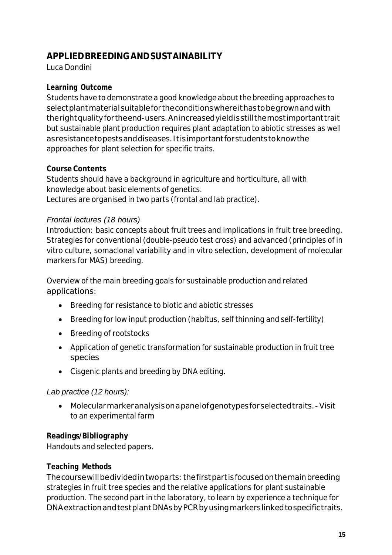## **APPLIEDBREEDINGANDSUSTAINABILITY**

Luca Dondini

#### **Learning Outcome**

Students have to demonstrate a good knowledge about the breeding approaches to select plant material suitable for the conditions where it has to be grown and with therightqualityfortheend-users.Anincreasedyieldisstillthemostimportanttrait but sustainable plant production requires plant adaptation to abiotic stresses as well asresistancetopestsanddiseases.Itisimportantforstudentstoknowthe approaches for plant selection for specific traits.

#### **Course Contents**

Students should have a background in agriculture and horticulture, all with knowledge about basic elements of genetics. Lectures are organised in two parts (frontal and lab practice).

#### *Frontal lectures (18 hours)*

Introduction: basic concepts about fruit trees and implications in fruit tree breeding. Strategies for conventional (double-pseudo test cross) and advanced (principles of in vitro culture, somaclonal variability and in vitro selection, development of molecular markers for MAS) breeding.

Overview of the main breeding goals for sustainable production and related applications:

- Breeding for resistance to biotic and abiotic stresses
- Breeding for low input production (habitus, self thinning and self-fertility)
- Breeding of rootstocks
- Application of genetic transformation for sustainable production in fruit tree species
- Cisgenic plants and breeding by DNA editing.

#### *Lab practice (12 hours):*

• Molecularmarkeranalysisonapanelofgenotypesforselectedtraits.-Visit to an experimental farm

#### **Readings/Bibliography**

Handouts and selected papers.

#### **Teaching Methods**

Thecoursewillbedividedintwoparts: thefirstpartisfocusedonthemainbreeding strategies in fruit tree species and the relative applications for plant sustainable production. The second part in the laboratory, to learn by experience a technique for DNAextractionandtestplantDNAsbyPCRbyusingmarkerslinkedtospecifictraits.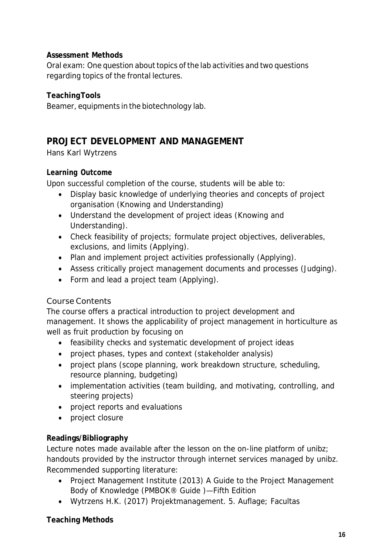#### **Assessment Methods**

Oral exam: One question about topics of the lab activities and two questions regarding topics of the frontal lectures.

#### **TeachingTools**

Beamer, equipments in the biotechnology lab.

## **PROJECT DEVELOPMENT AND MANAGEMENT**

Hans Karl Wytrzens

#### **Learning Outcome**

Upon successful completion of the course, students will be able to:

- Display basic knowledge of underlying theories and concepts of project organisation (Knowing and Understanding)
- Understand the development of project ideas (Knowing and Understanding).
- Check feasibility of projects; formulate project objectives, deliverables, exclusions, and limits (Applying).
- Plan and implement project activities professionally (Applying).
- Assess critically project management documents and processes (Judging).
- Form and lead a project team (Applying).

#### Course Contents

The course offers a practical introduction to project development and management. It shows the applicability of project management in horticulture as well as fruit production by focusing on

- feasibility checks and systematic development of project ideas
- project phases, types and context (stakeholder analysis)
- project plans (scope planning, work breakdown structure, scheduling, resource planning, budgeting)
- implementation activities (team building, and motivating, controlling, and steering projects)
- project reports and evaluations
- project closure

#### **Readings/Bibliography**

Lecture notes made available after the lesson on the on-line platform of unibz; handouts provided by the instructor through internet services managed by unibz. Recommended supporting literature:

- Project Management Institute (2013) A Guide to the Project Management Body of Knowledge (PMBOK® Guide )—Fifth Edition
- Wytrzens H.K. (2017) Projektmanagement. 5. Auflage; Facultas

#### **Teaching Methods**